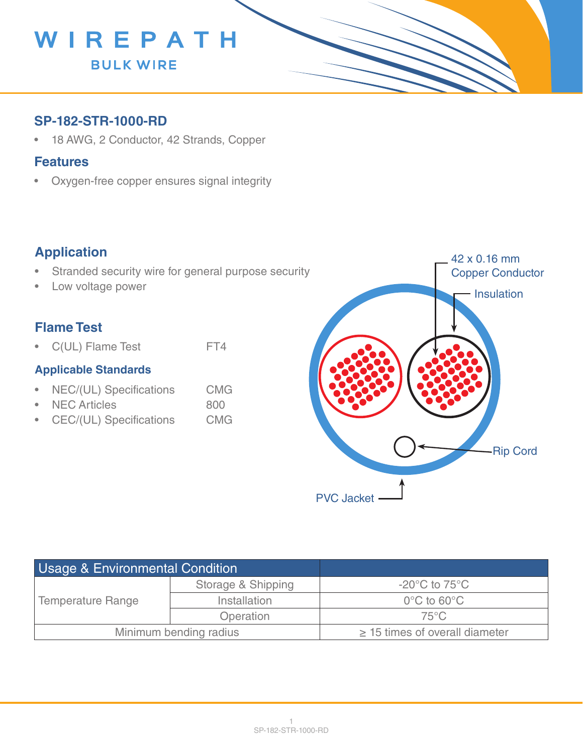

### **SP-182-STR-1000-RD**

• 18 AWG, 2 Conductor, 42 Strands, Copper

#### **Features**

• Oxygen-free copper ensures signal integrity

## **Application**

- Stranded security wire for general purpose security
- Low voltage power

## **Flame Test**

• C(UL) Flame Test FT4

#### **Applicable Standards**

- NEC/(UL) Specifications CMG
- NEC Articles 800
- CEC/(UL) Specifications CMG



| <b>Usage &amp; Environmental Condition</b> |                    |                                     |
|--------------------------------------------|--------------------|-------------------------------------|
| <b>Temperature Range</b>                   | Storage & Shipping | $-20^{\circ}$ C to 75 $^{\circ}$ C  |
|                                            | Installation       | $0^{\circ}$ C to 60 $^{\circ}$ C    |
|                                            | Operation          | $75^{\circ}$ C                      |
| Minimum bending radius                     |                    | $\geq$ 15 times of overall diameter |